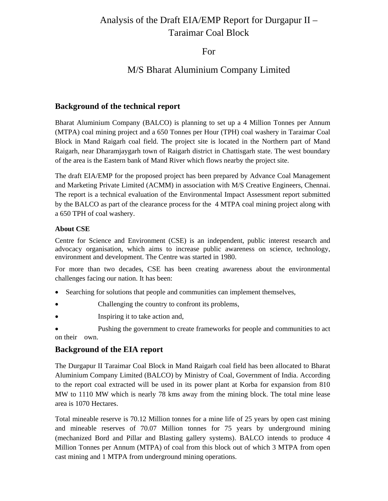# Analysis of the Draft EIA/EMP Report for Durgapur II – Taraimar Coal Block

For

## M/S Bharat Aluminium Company Limited

### **Background of the technical report**

Bharat Aluminium Company (BALCO) is planning to set up a 4 Million Tonnes per Annum (MTPA) coal mining project and a 650 Tonnes per Hour (TPH) coal washery in Taraimar Coal Block in Mand Raigarh coal field. The project site is located in the Northern part of Mand Raigarh, near Dharamjaygarh town of Raigarh district in Chattisgarh state. The west boundary of the area is the Eastern bank of Mand River which flows nearby the project site.

The draft EIA/EMP for the proposed project has been prepared by Advance Coal Management and Marketing Private Limited (ACMM) in association with M/S Creative Engineers, Chennai. The report is a technical evaluation of the Environmental Impact Assessment report submitted by the BALCO as part of the clearance process for the 4 MTPA coal mining project along with a 650 TPH of coal washery.

#### **About CSE**

Centre for Science and Environment (CSE) is an independent, public interest research and advocacy organisation, which aims to increase public awareness on science, technology, environment and development. The Centre was started in 1980.

For more than two decades, CSE has been creating awareness about the environmental challenges facing our nation. It has been:

- Searching for solutions that people and communities can implement themselves,
- Challenging the country to confront its problems,
- Inspiring it to take action and,

• Pushing the government to create frameworks for people and communities to act on their own.

## **Background of the EIA report**

The Durgapur II Taraimar Coal Block in Mand Raigarh coal field has been allocated to Bharat Aluminium Company Limited (BALCO) by Ministry of Coal, Government of India. According to the report coal extracted will be used in its power plant at Korba for expansion from 810 MW to 1110 MW which is nearly 78 kms away from the mining block. The total mine lease area is 1070 Hectares.

Total mineable reserve is 70.12 Million tonnes for a mine life of 25 years by open cast mining and mineable reserves of 70.07 Million tonnes for 75 years by underground mining (mechanized Bord and Pillar and Blasting gallery systems). BALCO intends to produce 4 Million Tonnes per Annum (MTPA) of coal from this block out of which 3 MTPA from open cast mining and 1 MTPA from underground mining operations.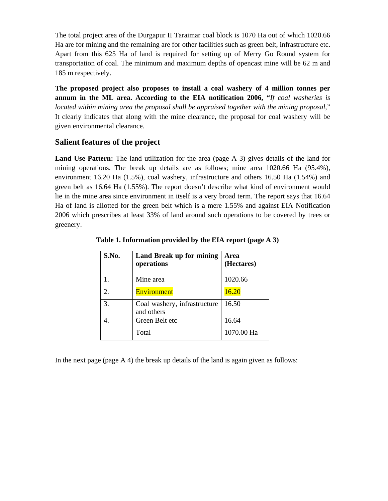The total project area of the Durgapur II Taraimar coal block is 1070 Ha out of which 1020.66 Ha are for mining and the remaining are for other facilities such as green belt, infrastructure etc. Apart from this 625 Ha of land is required for setting up of Merry Go Round system for transportation of coal. The minimum and maximum depths of opencast mine will be 62 m and 185 m respectively.

**The proposed project also proposes to install a coal washery of 4 million tonnes per annum in the ML area. According to the EIA notification 2006, "***If coal washeries is located within mining area the proposal shall be appraised together with the mining proposal*," It clearly indicates that along with the mine clearance, the proposal for coal washery will be given environmental clearance.

## **Salient features of the project**

Land Use Pattern: The land utilization for the area (page A 3) gives details of the land for mining operations. The break up details are as follows; mine area 1020.66 Ha (95.4%), environment 16.20 Ha (1.5%), coal washery, infrastructure and others 16.50 Ha (1.54%) and green belt as 16.64 Ha (1.55%). The report doesn't describe what kind of environment would lie in the mine area since environment in itself is a very broad term. The report says that 16.64 Ha of land is allotted for the green belt which is a mere 1.55% and against EIA Notification 2006 which prescribes at least 33% of land around such operations to be covered by trees or greenery.

| S.No.                       | Land Break up for mining<br>operations     | Area<br>(Hectares) |
|-----------------------------|--------------------------------------------|--------------------|
|                             | Mine area                                  | 1020.66            |
| $\mathcal{D}_{\mathcal{A}}$ | Environment                                | 16.20              |
| 3.                          | Coal washery, infrastructure<br>and others | 16.50              |
|                             | Green Belt etc                             | 16.64              |
|                             | Total                                      | 1070.00 Ha         |

 **Table 1. Information provided by the EIA report (page A 3)** 

In the next page (page  $A$  4) the break up details of the land is again given as follows: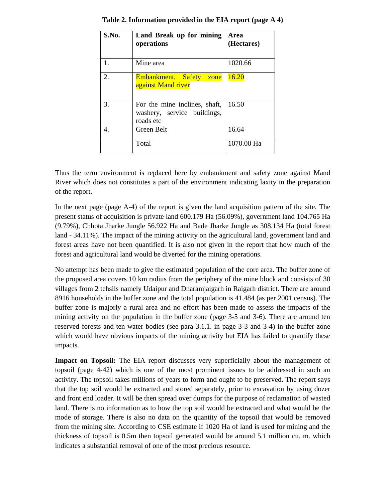| S.No. | Land Break up for mining<br>operations                                    | Area<br>(Hectares) |
|-------|---------------------------------------------------------------------------|--------------------|
| 1.    | Mine area                                                                 | 1020.66            |
| 2.    | Embankment, Safety zone<br>against Mand river                             | 16.20              |
| 3.    | For the mine inclines, shaft,<br>washery, service buildings,<br>roads etc | 16.50              |
|       | Green Belt                                                                | 16.64              |
|       | Total                                                                     | 1070.00 Ha         |

**Table 2. Information provided in the EIA report (page A 4)** 

Thus the term environment is replaced here by embankment and safety zone against Mand River which does not constitutes a part of the environment indicating laxity in the preparation of the report.

In the next page (page A-4) of the report is given the land acquisition pattern of the site. The present status of acquisition is private land 600.179 Ha (56.09%), government land 104.765 Ha (9.79%), Chhota Jharke Jungle 56.922 Ha and Bade Jharke Jungle as 308.134 Ha (total forest land - 34.11%). The impact of the mining activity on the agricultural land, government land and forest areas have not been quantified. It is also not given in the report that how much of the forest and agricultural land would be diverted for the mining operations.

No attempt has been made to give the estimated population of the core area. The buffer zone of the proposed area covers 10 km radius from the periphery of the mine block and consists of 30 villages from 2 tehsils namely Udaipur and Dharamjaigarh in Raigarh district. There are around 8916 households in the buffer zone and the total population is 41,484 (as per 2001 census). The buffer zone is majorly a rural area and no effort has been made to assess the impacts of the mining activity on the population in the buffer zone (page 3-5 and 3-6). There are around ten reserved forests and ten water bodies (see para 3.1.1. in page 3-3 and 3-4) in the buffer zone which would have obvious impacts of the mining activity but EIA has failed to quantify these impacts.

**Impact on Topsoil:** The EIA report discusses very superficially about the management of topsoil (page 4-42) which is one of the most prominent issues to be addressed in such an activity. The topsoil takes millions of years to form and ought to be preserved. The report says that the top soil would be extracted and stored separately, prior to excavation by using dozer and front end loader. It will be then spread over dumps for the purpose of reclamation of wasted land. There is no information as to how the top soil would be extracted and what would be the mode of storage. There is also no data on the quantity of the topsoil that would be removed from the mining site. According to CSE estimate if 1020 Ha of land is used for mining and the thickness of topsoil is 0.5m then topsoil generated would be around 5.1 million cu. m. which indicates a substantial removal of one of the most precious resource.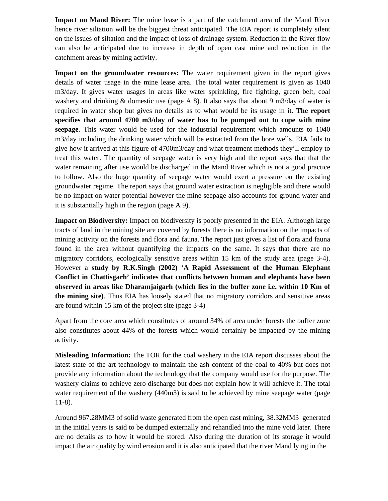**Impact on Mand River:** The mine lease is a part of the catchment area of the Mand River hence river siltation will be the biggest threat anticipated. The EIA report is completely silent on the issues of siltation and the impact of loss of drainage system. Reduction in the River flow can also be anticipated due to increase in depth of open cast mine and reduction in the catchment areas by mining activity.

**Impact on the groundwater resources:** The water requirement given in the report gives details of water usage in the mine lease area. The total water requirement is given as 1040 m3/day. It gives water usages in areas like water sprinkling, fire fighting, green belt, coal washery and drinking & domestic use (page A 8). It also says that about 9 m3/day of water is required in water shop but gives no details as to what would be its usage in it. **The report specifies that around 4700 m3/day of water has to be pumped out to cope with mine seepage**. This water would be used for the industrial requirement which amounts to 1040 m3/day including the drinking water which will be extracted from the bore wells. EIA fails to give how it arrived at this figure of 4700m3/day and what treatment methods they'll employ to treat this water. The quantity of seepage water is very high and the report says that that the water remaining after use would be discharged in the Mand River which is not a good practice to follow. Also the huge quantity of seepage water would exert a pressure on the existing groundwater regime. The report says that ground water extraction is negligible and there would be no impact on water potential however the mine seepage also accounts for ground water and it is substantially high in the region (page A 9).

**Impact on Biodiversity:** Impact on biodiversity is poorly presented in the EIA. Although large tracts of land in the mining site are covered by forests there is no information on the impacts of mining activity on the forests and flora and fauna. The report just gives a list of flora and fauna found in the area without quantifying the impacts on the same. It says that there are no migratory corridors, ecologically sensitive areas within 15 km of the study area (page 3-4). However a **study by R.K.Singh (2002) 'A Rapid Assessment of the Human Elephant Conflict in Chattisgarh' indicates that conflicts between human and elephants have been observed in areas like Dharamjaigarh (which lies in the buffer zone i.e. within 10 Km of the mining site)**. Thus EIA has loosely stated that no migratory corridors and sensitive areas are found within 15 km of the project site (page 3-4)

Apart from the core area which constitutes of around 34% of area under forests the buffer zone also constitutes about 44% of the forests which would certainly be impacted by the mining activity.

**Misleading Information:** The TOR for the coal washery in the EIA report discusses about the latest state of the art technology to maintain the ash content of the coal to 40% but does not provide any information about the technology that the company would use for the purpose. The washery claims to achieve zero discharge but does not explain how it will achieve it. The total water requirement of the washery (440m3) is said to be achieved by mine seepage water (page 11-8).

Around 967.28MM3 of solid waste generated from the open cast mining, 38.32MM3 generated in the initial years is said to be dumped externally and rehandled into the mine void later. There are no details as to how it would be stored. Also during the duration of its storage it would impact the air quality by wind erosion and it is also anticipated that the river Mand lying in the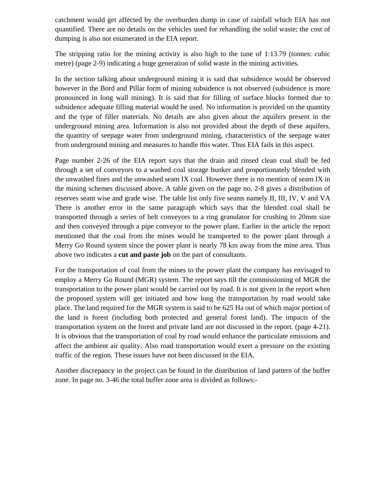catchment would get affected by the overburden dump in case of rainfall which EIA has not quantified. There are no details on the vehicles used for rehandling the solid waste; the cost of dumping is also not enumerated in the EIA report.

The stripping ratio for the mining activity is also high to the tune of 1:13.79 (tonnes: cubic metre) (page 2-9) indicating a huge generation of solid waste in the mining activities.

In the section talking about underground mining it is said that subsidence would be observed however in the Bord and Pillar form of mining subsidence is not observed (subsidence is more pronounced in long wall mining). It is said that for filling of surface blocks formed due to subsidence adequate filling material would be used. No information is provided on the quantity and the type of filler materials. No details are also given about the aquifers present in the underground mining area. Information is also not provided about the depth of these aquifers, the quantity of seepage water from underground mining, characteristics of the seepage water from underground mining and measures to handle this water. Thus EIA fails in this aspect.

Page number 2-26 of the EIA report says that the drain and rinsed clean coal shall be fed through a set of conveyors to a washed coal storage bunker and proportionately blended with the unwashed fines and the unwashed seam IX coal. However there is no mention of seam IX in the mining schemes discussed above. A table given on the page no. 2-8 gives a distribution of reserves seam wise and grade wise. The table list only five seams namely II, III, IV, V and VA There is another error in the same paragraph which says that the blended coal shall be transported through a series of belt conveyors to a ring granulator for crushing to 20mm size and then conveyed through a pipe conveyor to the power plant. Earlier in the article the report mentioned that the coal from the mines would be transported to the power plant through a Merry Go Round system since the power plant is nearly 78 km away from the mine area. Thus above two indicates a **cut and paste job** on the part of consultants.

For the transportation of coal from the mines to the power plant the company has envisaged to employ a Merry Go Round (MGR) system. The report says till the commissioning of MGR the transportation to the power plant would be carried out by road. It is not given in the report when the proposed system will get initiated and how long the transportation by road would take place. The land required for the MGR system is said to be 625 Ha out of which major portion of the land is forest (including both protected and general forest land). The impacts of the transportation system on the forest and private land are not discussed in the report. (page 4-21). It is obvious that the transportation of coal by road would enhance the particulate emissions and affect the ambient air quality. Also road transportation would exert a pressure on the existing traffic of the region. These issues have not been discussed in the EIA.

Another discrepancy in the project can be found in the distribution of land pattern of the buffer zone. In page no. 3-46 the total buffer zone area is divided as follows:-